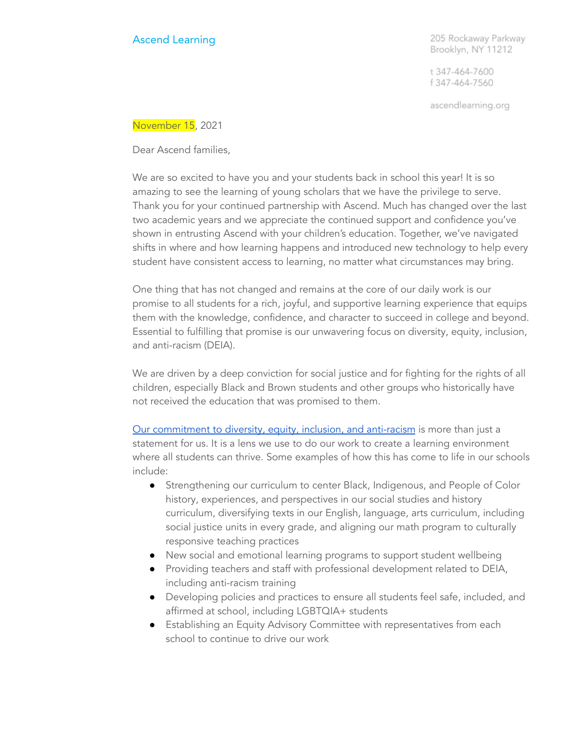## Ascend Learning

205 Rockaway Parkway Brooklyn, NY 11212

t 347-464-7600 f 347-464-7560

ascendlearning.org

November 15, 2021

Dear Ascend families,

We are so excited to have you and your students back in school this year! It is so amazing to see the learning of young scholars that we have the privilege to serve. Thank you for your continued partnership with Ascend. Much has changed over the last two academic years and we appreciate the continued support and confidence you've shown in entrusting Ascend with your children's education. Together, we've navigated shifts in where and how learning happens and introduced new technology to help every student have consistent access to learning, no matter what circumstances may bring.

One thing that has not changed and remains at the core of our daily work is our promise to all students for a rich, joyful, and supportive learning experience that equips them with the knowledge, confidence, and character to succeed in college and beyond. Essential to fulfilling that promise is our unwavering focus on diversity, equity, inclusion, and anti-racism (DEIA).

We are driven by a deep conviction for social justice and for fighting for the rights of all children, especially Black and Brown students and other groups who historically have not received the education that was promised to them.

Our [commitment](https://www.ascendlearning.org/diversity-equity-inclusion-and-anti-racism/) to diversity, equity, inclusion, and anti-racism is more than just a statement for us. It is a lens we use to do our work to create a learning environment where all students can thrive. Some examples of how this has come to life in our schools include:

- Strengthening our curriculum to center Black, Indigenous, and People of Color history, experiences, and perspectives in our social studies and history curriculum, diversifying texts in our English, language, arts curriculum, including social justice units in every grade, and aligning our math program to culturally responsive teaching practices
- New social and emotional learning programs to support student wellbeing
- Providing teachers and staff with professional development related to DEIA, including anti-racism training
- Developing policies and practices to ensure all students feel safe, included, and affirmed at school, including LGBTQIA+ students
- Establishing an Equity Advisory Committee with representatives from each school to continue to drive our work